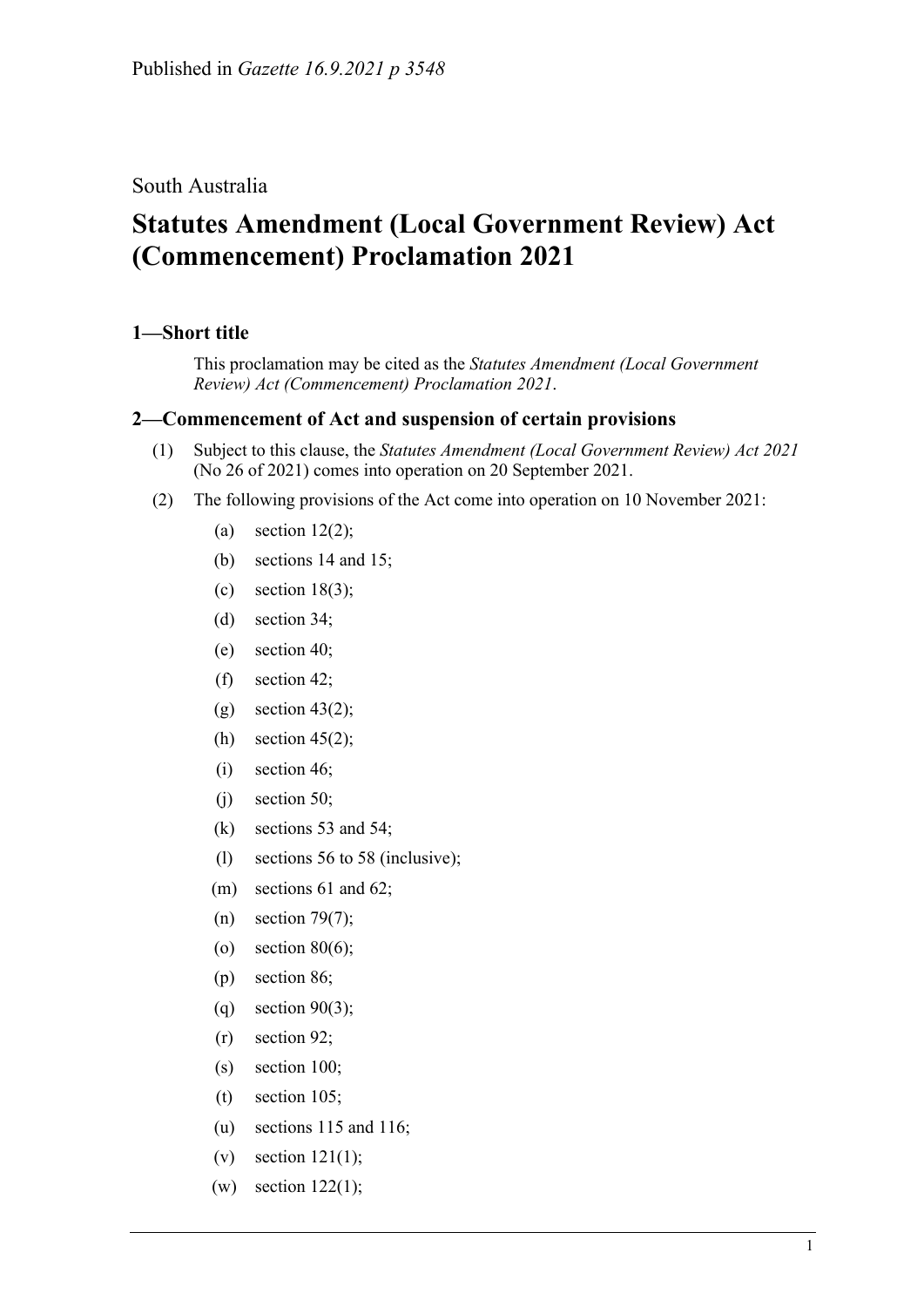South Australia

## **Statutes Amendment (Local Government Review) Act (Commencement) Proclamation 2021**

## **1—Short title**

This proclamation may be cited as the *Statutes Amendment (Local Government Review) Act (Commencement) Proclamation 2021*.

## **2—Commencement of Act and suspension of certain provisions**

- (1) Subject to this clause, the *[Statutes Amendment \(Local Government Review\) Act](http://www.legislation.sa.gov.au/index.aspx?action=legref&type=act&legtitle=Statutes%20Amendment%20(Local%20Government%20Review)%20Act%202021) 2021* (No 26 of 2021) comes into operation on 20 September 2021.
- (2) The following provisions of the Act come into operation on 10 November 2021:
	- (a) section  $12(2)$ ;
	- (b) sections 14 and 15;
	- (c) section  $18(3)$ ;
	- (d) section 34;
	- (e) section 40;
	- (f) section 42;
	- $(g)$  section 43(2);
	- (h) section  $45(2)$ ;
	- (i) section 46;
	- (j) section 50;
	- (k) sections 53 and 54;
	- (l) sections 56 to 58 (inclusive);
	- (m) sections 61 and 62;
	- (n) section 79(7);
	- (o) section  $80(6)$ ;
	- (p) section 86;
	- (q) section  $90(3)$ ;
	- (r) section 92;
	- (s) section 100;
	- (t) section 105;
	- (u) sections 115 and 116;
	- $(v)$  section 121(1);
	- (w) section 122(1);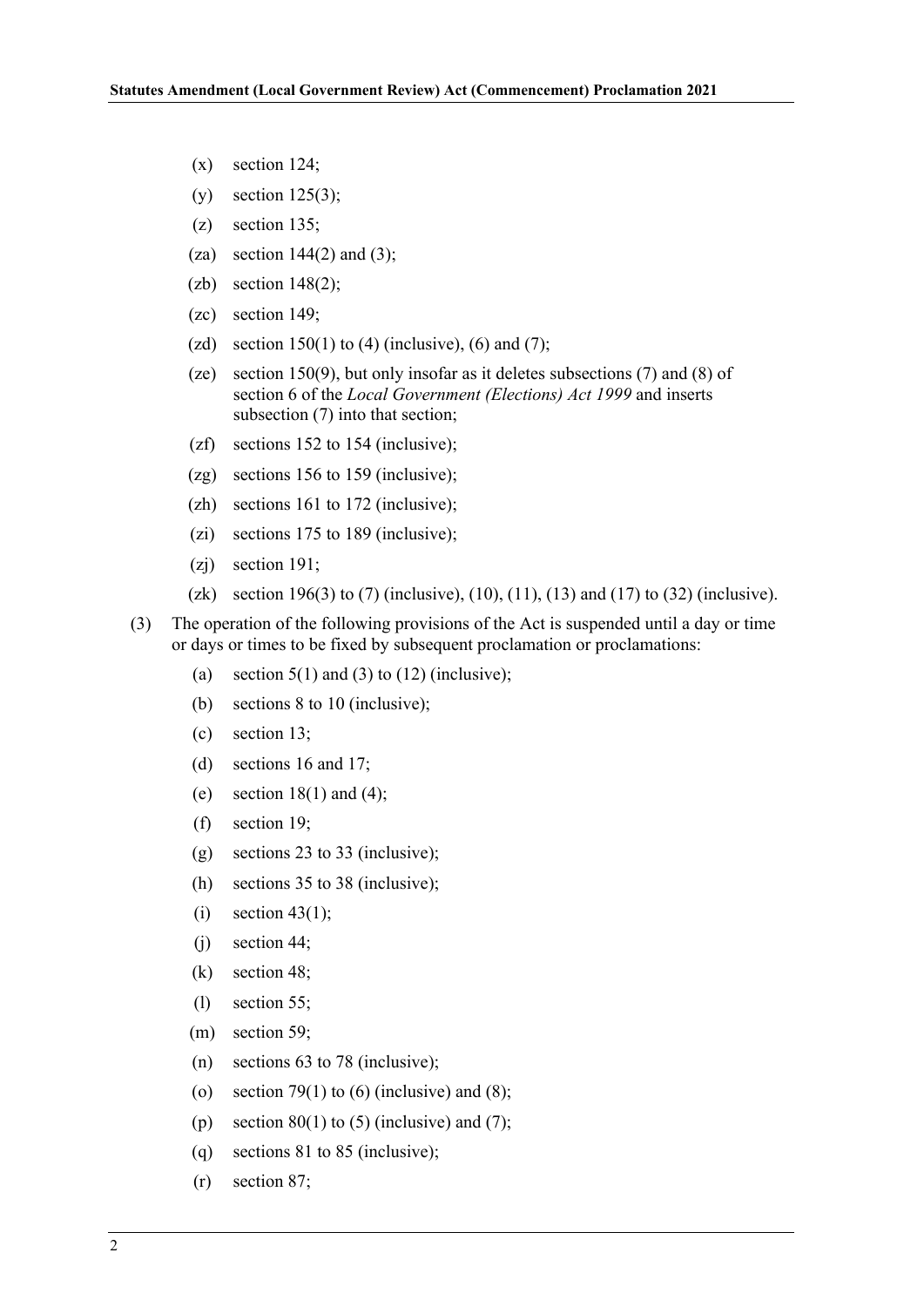- $(x)$  section 124;
- (y) section  $125(3)$ ;
- (z) section 135;
- (za) section  $144(2)$  and (3);
- $(zb)$  section 148(2);
- (zc) section 149;
- (zd) section  $150(1)$  to (4) (inclusive), (6) and (7);
- (ze) section 150(9), but only insofar as it deletes subsections (7) and (8) of section 6 of the *[Local Government \(Elections\) Act](http://www.legislation.sa.gov.au/index.aspx?action=legref&type=act&legtitle=Local%20Government%20(Elections)%20Act%201999) 1999* and inserts subsection (7) into that section;
- (zf) sections 152 to 154 (inclusive);
- (zg) sections 156 to 159 (inclusive);
- (zh) sections 161 to 172 (inclusive);
- (zi) sections 175 to 189 (inclusive);
- (zj) section 191;
- (zk) section 196(3) to (7) (inclusive), (10), (11), (13) and (17) to (32) (inclusive).
- (3) The operation of the following provisions of the Act is suspended until a day or time or days or times to be fixed by subsequent proclamation or proclamations:
	- (a) section  $5(1)$  and (3) to (12) (inclusive);
	- (b) sections 8 to 10 (inclusive);
	- (c) section 13;
	- (d) sections 16 and 17;
	- (e) section  $18(1)$  and  $(4)$ ;
	- (f) section 19;
	- (g) sections 23 to 33 (inclusive);
	- (h) sections 35 to 38 (inclusive);
	- $(i)$  section 43(1);
	- (j) section 44;
	- (k) section 48;
	- (l) section 55;
	- (m) section 59;
	- (n) sections 63 to 78 (inclusive);
	- (o) section 79(1) to (6) (inclusive) and (8);
	- (p) section  $80(1)$  to (5) (inclusive) and (7);
	- (q) sections 81 to 85 (inclusive);
	- (r) section 87;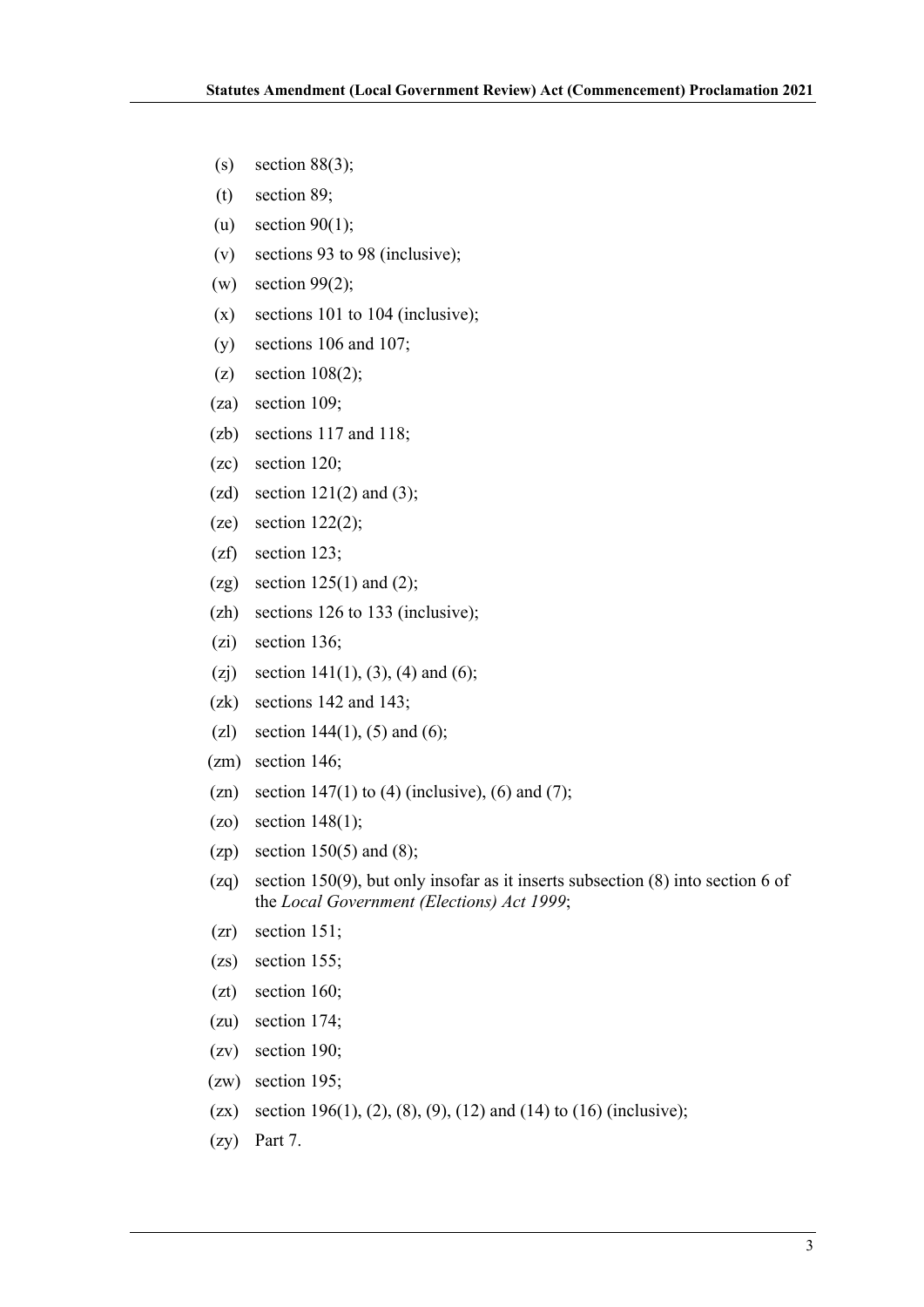- (s) section  $88(3)$ ;
- (t) section 89;
- (u) section  $90(1)$ ;
- (v) sections 93 to 98 (inclusive);
- $(w)$  section 99(2);
- (x) sections 101 to 104 (inclusive);
- (y) sections 106 and 107;
- (z) section  $108(2)$ ;
- (za) section 109;
- (zb) sections 117 and 118;
- (zc) section 120;
- (zd) section  $121(2)$  and  $(3)$ ;
- (ze) section  $122(2)$ ;
- (zf) section 123;
- (zg) section  $125(1)$  and  $(2)$ ;
- (zh) sections 126 to 133 (inclusive);
- (zi) section 136;
- (zj) section 141(1), (3), (4) and (6);
- (zk) sections 142 and 143;
- (zl) section  $144(1)$ , (5) and (6);
- (zm) section 146;
- (zn) section  $147(1)$  to (4) (inclusive), (6) and (7);
- $(20)$  section 148(1);
- (zp) section  $150(5)$  and  $(8)$ ;
- (zq) section 150(9), but only insofar as it inserts subsection (8) into section 6 of the *[Local Government \(Elections\) Act](http://www.legislation.sa.gov.au/index.aspx?action=legref&type=act&legtitle=Local%20Government%20(Elections)%20Act%201999) 1999*;
- (zr) section 151;
- (zs) section 155;
- (zt) section 160;
- (zu) section 174;
- (zv) section 190;
- (zw) section 195;
- (zx) section 196(1), (2), (8), (9), (12) and (14) to (16) (inclusive);
- (zy) Part 7.